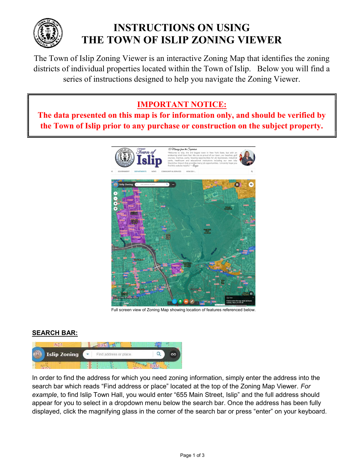

# INSTRUCTIONS ON USING THE TOWN OF ISLIP ZONING VIEWER

The Town of Islip Zoning Viewer is an interactive Zoning Map that identifies the zoning districts of individual properties located within the Town of Islip. Below you will find a series of instructions designed to help you navigate the Zoning Viewer.

# IMPORTANT NOTICE:

The data presented on this map is for information only, and should be verified by the Town of Islip prior to any purchase or construction on the subject property.



Full screen view of Zoning Map showing location of features referenced below.

## SEARCH BAR:



In order to find the address for which you need zoning information, simply enter the address into the search bar which reads "Find address or place" located at the top of the Zoning Map Viewer. For example, to find Islip Town Hall, you would enter "655 Main Street, Islip" and the full address should appear for you to select in a dropdown menu below the search bar. Once the address has been fully displayed, click the magnifying glass in the corner of the search bar or press "enter" on your keyboard.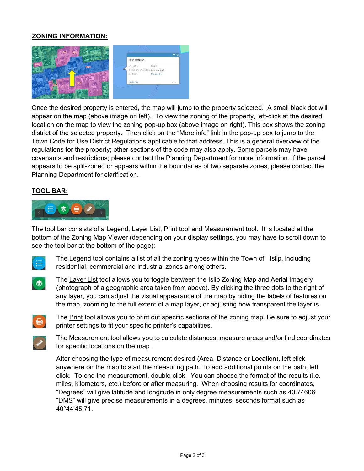#### ZONING INFORMATION:



Once the desired property is entered, the map will jump to the property selected. A small black dot will appear on the map (above image on left). To view the zoning of the property, left-click at the desired location on the map to view the zoning pop-up box (above image on right). This box shows the zoning district of the selected property. Then click on the "More info" link in the pop-up box to jump to the Town Code for Use District Regulations applicable to that address. This is a general overview of the regulations for the property; other sections of the code may also apply. Some parcels may have covenants and restrictions; please contact the Planning Department for more information. If the parcel appears to be split-zoned or appears within the boundaries of two separate zones, please contact the Planning Department for clarification.

#### TOOL BAR:



The tool bar consists of a Legend, Layer List, Print tool and Measurement tool. It is located at the bottom of the Zoning Map Viewer (depending on your display settings, you may have to scroll down to see the tool bar at the bottom of the page):



The Legend tool contains a list of all the zoning types within the Town of Islip, including residential, commercial and industrial zones among others.



The Layer List tool allows you to toggle between the Islip Zoning Map and Aerial Imagery (photograph of a geographic area taken from above). By clicking the three dots to the right of any layer, you can adjust the visual appearance of the map by hiding the labels of features on the map, zooming to the full extent of a map layer, or adjusting how transparent the layer is.



The Print tool allows you to print out specific sections of the zoning map. Be sure to adjust your printer settings to fit your specific printer's capabilities.



The Measurement tool allows you to calculate distances, measure areas and/or find coordinates for specific locations on the map.

After choosing the type of measurement desired (Area, Distance or Location), left click anywhere on the map to start the measuring path. To add additional points on the path, left click. To end the measurement, double click. You can choose the format of the results (i.e. miles, kilometers, etc.) before or after measuring. When choosing results for coordinates, "Degrees" will give latitude and longitude in only degree measurements such as 40.74606; "DMS" will give precise measurements in a degrees, minutes, seconds format such as 40°44'45.71.